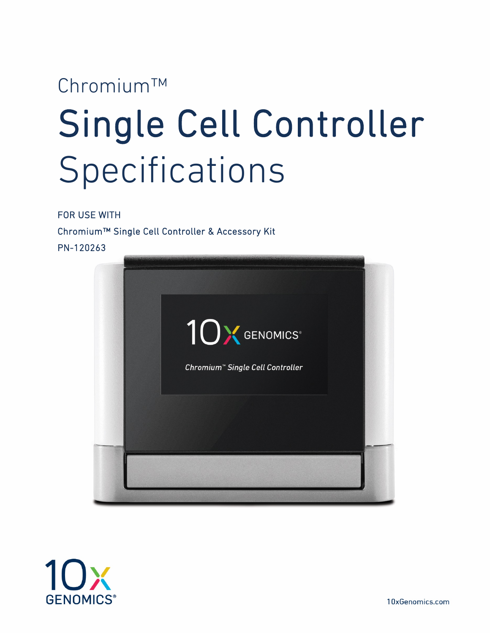# Chromium™ Single Cell Controller Specifications

FOR USE WITH

Chromium™ Single Cell Controller & Accessory Kit PN-120263



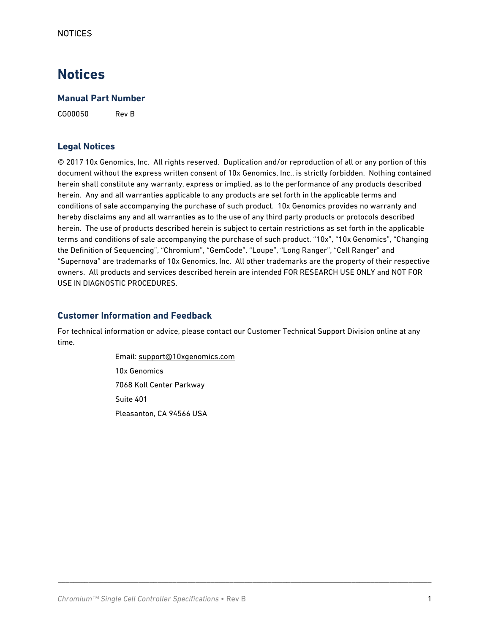## **Notices**

#### **Manual Part Number**

CG00050 Rev B

#### **Legal Notices**

© 2017 10x Genomics, Inc. All rights reserved. Duplication and/or reproduction of all or any portion of this document without the express written consent of 10x Genomics, Inc., is strictly forbidden. Nothing contained herein shall constitute any warranty, express or implied, as to the performance of any products described herein. Any and all warranties applicable to any products are set forth in the applicable terms and conditions of sale accompanying the purchase of such product. 10x Genomics provides no warranty and hereby disclaims any and all warranties as to the use of any third party products or protocols described herein. The use of products described herein is subject to certain restrictions as set forth in the applicable terms and conditions of sale accompanying the purchase of such product. "10x", "10x Genomics", "Changing the Definition of Sequencing", "Chromium", "GemCode", "Loupe", "Long Ranger", "Cell Ranger" and "Supernova" are trademarks of 10x Genomics, Inc. All other trademarks are the property of their respective owners. All products and services described herein are intended FOR RESEARCH USE ONLY and NOT FOR USE IN DIAGNOSTIC PROCEDURES.

#### **Customer Information and Feedback**

For technical information or advice, please contact our Customer Technical Support Division online at any time.

\_\_\_\_\_\_\_\_\_\_\_\_\_\_\_\_\_\_\_\_\_\_\_\_\_\_\_\_\_\_\_\_\_\_\_\_\_\_\_\_\_\_\_\_\_\_\_\_\_\_\_\_\_\_\_\_\_\_\_\_\_\_\_\_\_\_\_\_\_\_\_\_\_\_\_\_\_\_\_\_\_\_\_\_\_\_\_\_\_\_\_\_\_\_\_\_\_\_

Email: [support@10xgenomics.com](mailto:support@10xgenomics.com) 10x Genomics 7068 Koll Center Parkway Suite 401 Pleasanton, CA 94566 USA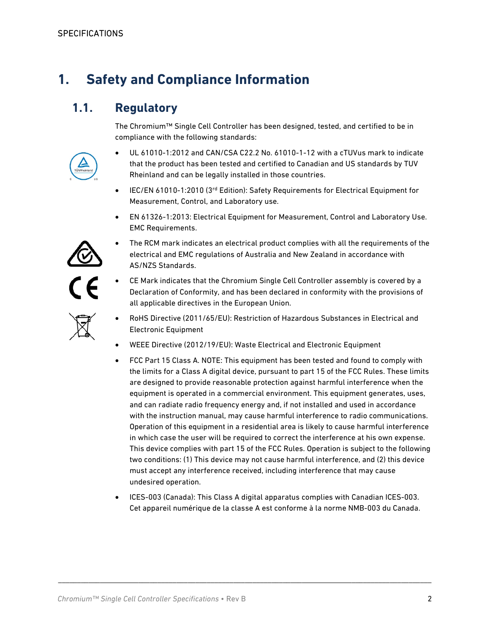# **1. Safety and Compliance Information**

### **1.1. Regulatory**

The Chromium™ Single Cell Controller has been designed, tested, and certified to be in compliance with the following standards:



- UL 61010-1:2012 and CAN/CSA C22.2 No. 61010-1-12 with a cTUVus mark to indicate that the product has been tested and certified to Canadian and US standards by TUV Rheinland and can be legally installed in those countries.
- IEC/EN 61010-1:2010 (3rd Edition): Safety Requirements for Electrical Equipment for Measurement, Control, and Laboratory use.
- EN 61326-1:2013: Electrical Equipment for Measurement, Control and Laboratory Use. EMC Requirements.



- The RCM mark indicates an electrical product complies with all the requirements of the electrical and EMC regulations of Australia and New Zealand in accordance with AS/NZS Standards.
- CE Mark indicates that the Chromium Single Cell Controller assembly is covered by a Declaration of Conformity, and has been declared in conformity with the provisions of all applicable directives in the European Union.
- RoHS Directive (2011/65/EU): Restriction of Hazardous Substances in Electrical and Electronic Equipment
- WEEE Directive (2012/19/EU): Waste Electrical and Electronic Equipment
- FCC Part 15 Class A. NOTE: This equipment has been tested and found to comply with the limits for a Class A digital device, pursuant to part 15 of the FCC Rules. These limits are designed to provide reasonable protection against harmful interference when the equipment is operated in a commercial environment. This equipment generates, uses, and can radiate radio frequency energy and, if not installed and used in accordance with the instruction manual, may cause harmful interference to radio communications. Operation of this equipment in a residential area is likely to cause harmful interference in which case the user will be required to correct the interference at his own expense. This device complies with part 15 of the FCC Rules. Operation is subject to the following two conditions: (1) This device may not cause harmful interference, and (2) this device must accept any interference received, including interference that may cause undesired operation.
- ICES-003 (Canada): This Class A digital apparatus complies with Canadian ICES-003. Cet appareil numérique de la classe A est conforme à la norme NMB-003 du Canada.

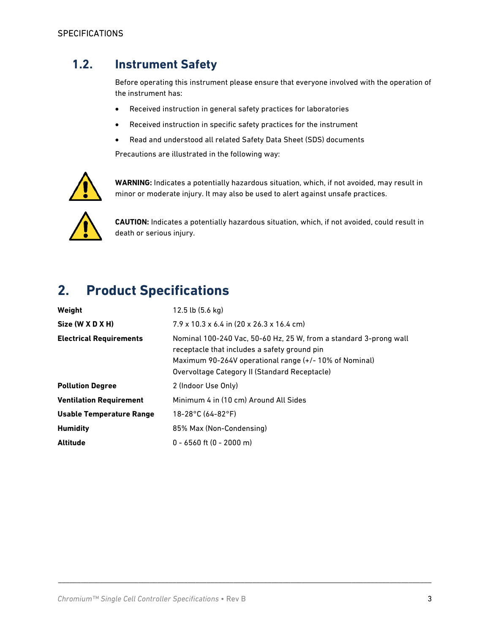## **1.2. Instrument Safety**

Before operating this instrument please ensure that everyone involved with the operation of the instrument has:

- Received instruction in general safety practices for laboratories
- Received instruction in specific safety practices for the instrument
- Read and understood all related Safety Data Sheet (SDS) documents

Precautions are illustrated in the following way:



**WARNING:** Indicates a potentially hazardous situation, which, if not avoided, may result in minor or moderate injury. It may also be used to alert against unsafe practices.



**CAUTION:** Indicates a potentially hazardous situation, which, if not avoided, could result in death or serious injury.

# **2. Product Specifications**

| Weight                          | $12.5$ lb $(5.6 \text{ kg})$                                                                                                                                                                                                |
|---------------------------------|-----------------------------------------------------------------------------------------------------------------------------------------------------------------------------------------------------------------------------|
| Size (W X D X H)                | $7.9 \times 10.3 \times 6.4$ in $(20 \times 26.3 \times 16.4$ cm)                                                                                                                                                           |
| <b>Electrical Requirements</b>  | Nominal 100-240 Vac, 50-60 Hz, 25 W, from a standard 3-prong wall<br>receptacle that includes a safety ground pin<br>Maximum 90-264V operational range (+/-10% of Nominal)<br>Overvoltage Category II (Standard Receptacle) |
| <b>Pollution Degree</b>         | 2 (Indoor Use Only)                                                                                                                                                                                                         |
| <b>Ventilation Requirement</b>  | Minimum 4 in (10 cm) Around All Sides                                                                                                                                                                                       |
| <b>Usable Temperature Range</b> | $18 - 28$ °C (64-82°F)                                                                                                                                                                                                      |
| <b>Humidity</b>                 | 85% Max (Non-Condensing)                                                                                                                                                                                                    |
| <b>Altitude</b>                 | $0 - 6560$ ft $(0 - 2000$ m)                                                                                                                                                                                                |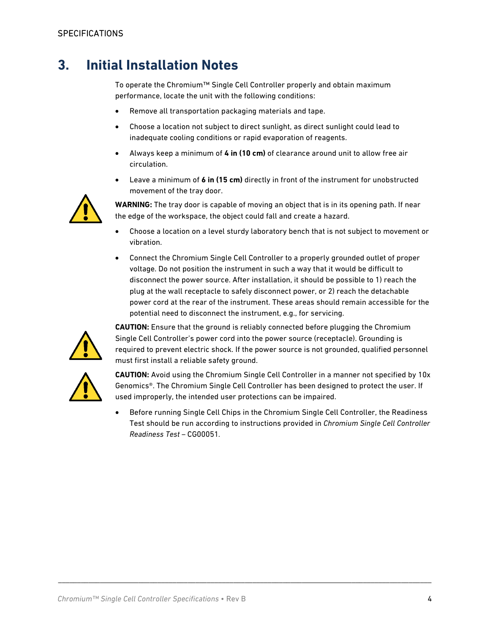# **3. Initial Installation Notes**

To operate the Chromium™ Single Cell Controller properly and obtain maximum performance, locate the unit with the following conditions:

- Remove all transportation packaging materials and tape.
- Choose a location not subject to direct sunlight, as direct sunlight could lead to inadequate cooling conditions or rapid evaporation of reagents.
- Always keep a minimum of **4 in (10 cm)** of clearance around unit to allow free air circulation.
- Leave a minimum of **6 in (15 cm)** directly in front of the instrument for unobstructed movement of the tray door.



**WARNING:** The tray door is capable of moving an object that is in its opening path. If near the edge of the workspace, the object could fall and create a hazard.

- Choose a location on a level sturdy laboratory bench that is not subject to movement or vibration.
- Connect the Chromium Single Cell Controller to a properly grounded outlet of proper voltage. Do not position the instrument in such a way that it would be difficult to disconnect the power source. After installation, it should be possible to 1) reach the plug at the wall receptacle to safely disconnect power, or 2) reach the detachable power cord at the rear of the instrument. These areas should remain accessible for the potential need to disconnect the instrument, e.g., for servicing.



**CAUTION:** Ensure that the ground is reliably connected before plugging the Chromium Single Cell Controller's power cord into the power source (receptacle). Grounding is required to prevent electric shock. If the power source is not grounded, qualified personnel must first install a reliable safety ground.



**CAUTION:** Avoid using the Chromium Single Cell Controller in a manner not specified by 10x Genomics®. The Chromium Single Cell Controller has been designed to protect the user. If used improperly, the intended user protections can be impaired.

• Before running Single Cell Chips in the Chromium Single Cell Controller, the Readiness Test should be run according to instructions provided in *Chromium Single Cell Controller Readiness Test –* CG00051*.*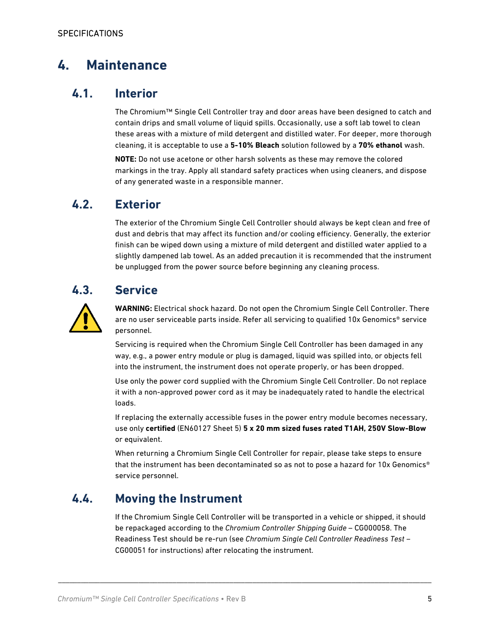# **4. Maintenance**

#### **4.1. Interior**

The Chromium™ Single Cell Controller tray and door areas have been designed to catch and contain drips and small volume of liquid spills. Occasionally, use a soft lab towel to clean these areas with a mixture of mild detergent and distilled water. For deeper, more thorough cleaning, it is acceptable to use a **5-10% Bleach** solution followed by a **70% ethanol** wash.

**NOTE:** Do not use acetone or other harsh solvents as these may remove the colored markings in the tray. Apply all standard safety practices when using cleaners, and dispose of any generated waste in a responsible manner.

#### **4.2. Exterior**

The exterior of the Chromium Single Cell Controller should always be kept clean and free of dust and debris that may affect its function and/or cooling efficiency. Generally, the exterior finish can be wiped down using a mixture of mild detergent and distilled water applied to a slightly dampened lab towel. As an added precaution it is recommended that the instrument be unplugged from the power source before beginning any cleaning process.

## **4.3. Service**



**WARNING:** Electrical shock hazard. Do not open the Chromium Single Cell Controller. There are no user serviceable parts inside. Refer all servicing to qualified 10x Genomics® service personnel.

Servicing is required when the Chromium Single Cell Controller has been damaged in any way, e.g., a power entry module or plug is damaged, liquid was spilled into, or objects fell into the instrument, the instrument does not operate properly, or has been dropped.

Use only the power cord supplied with the Chromium Single Cell Controller. Do not replace it with a non-approved power cord as it may be inadequately rated to handle the electrical loads.

If replacing the externally accessible fuses in the power entry module becomes necessary, use only **certified** (EN60127 Sheet 5) **5 x 20 mm sized fuses rated T1AH, 250V Slow-Blow** or equivalent.

When returning a Chromium Single Cell Controller for repair, please take steps to ensure that the instrument has been decontaminated so as not to pose a hazard for 10x Genomics® service personnel.

#### **4.4. Moving the Instrument**

If the Chromium Single Cell Controller will be transported in a vehicle or shipped, it should be repackaged according to the *Chromium Controller Shipping Guide* – CG000058. The Readiness Test should be re-run (see *Chromium Single Cell Controller Readiness Test –* CG00051 for instructions) after relocating the instrument.